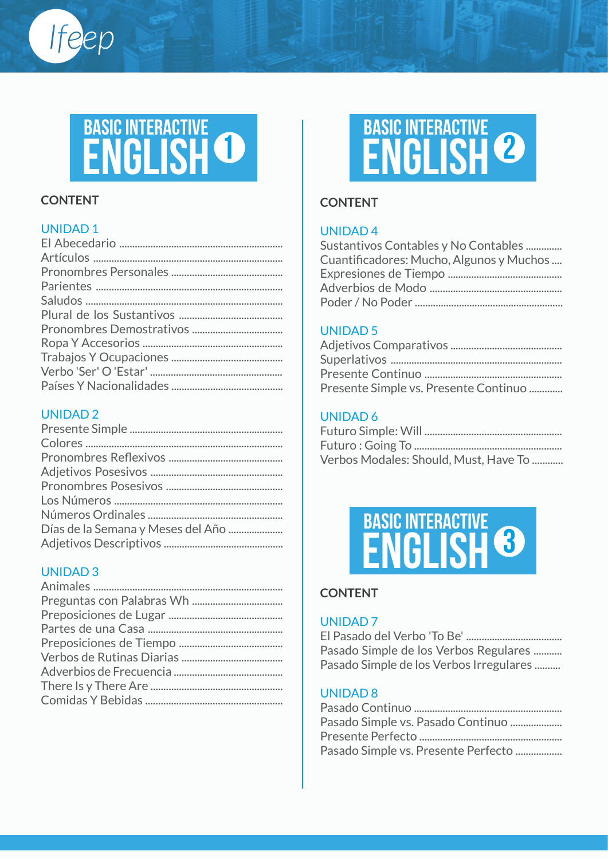# **<sup>1</sup> ENGLISH BASIC INTERACTIVE**

#### **CONTENT**

Ifeep

#### UNIDAD 1

#### UNIDAD 2

| Días de la Semana y Meses del Año |
|-----------------------------------|
|                                   |

#### UNIDAD 3



#### **CONTENT**

#### UNIDAD 4

| Sustantivos Contables y No Contables     |
|------------------------------------------|
| Cuantificadores: Mucho, Algunos y Muchos |
|                                          |
|                                          |
|                                          |

#### UNIDAD 5

| Presente Simple vs. Presente Continuo |
|---------------------------------------|

#### UNIDAD 6

| Verbos Modales: Should, Must, Have To |
|---------------------------------------|



#### **CONTENT**

#### UNIDAD 7

El Pasado del Verbo 'To Be' ..................................... Pasado Simple de los Verbos Regulares ........... Pasado Simple de los Verbos Irregulares ..........

#### UNIDAD 8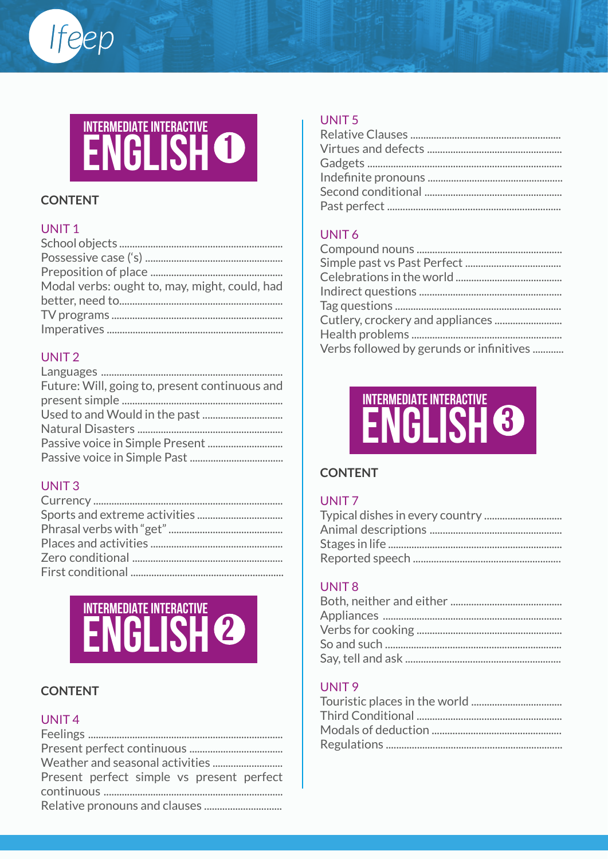# INTERMEDIATE INTERACTIVE<br>
ENGLISH<sup>O</sup>

#### **CONTENT**

Ifeep

#### UNIT<sub>1</sub>

| Modal verbs: ought to, may, might, could, had |
|-----------------------------------------------|
|                                               |
|                                               |
|                                               |
|                                               |

#### UNIT<sub>2</sub>

| Future: Will, going to, present continuous and |
|------------------------------------------------|
|                                                |
|                                                |
|                                                |
|                                                |
|                                                |
|                                                |

#### UNIT<sub>3</sub>

# INTERMEDIATE INTERACTIVE<br>ENGLISH<sup>2</sup>

#### **CONTENT**

#### UNIT<sub>4</sub>

#### UNIT<sub>5</sub>

#### UNIT<sub>6</sub>



#### **CONTENT**

#### UNIT<sub>7</sub>

#### UNIT<sub>8</sub>

#### UNIT<sub>9</sub>